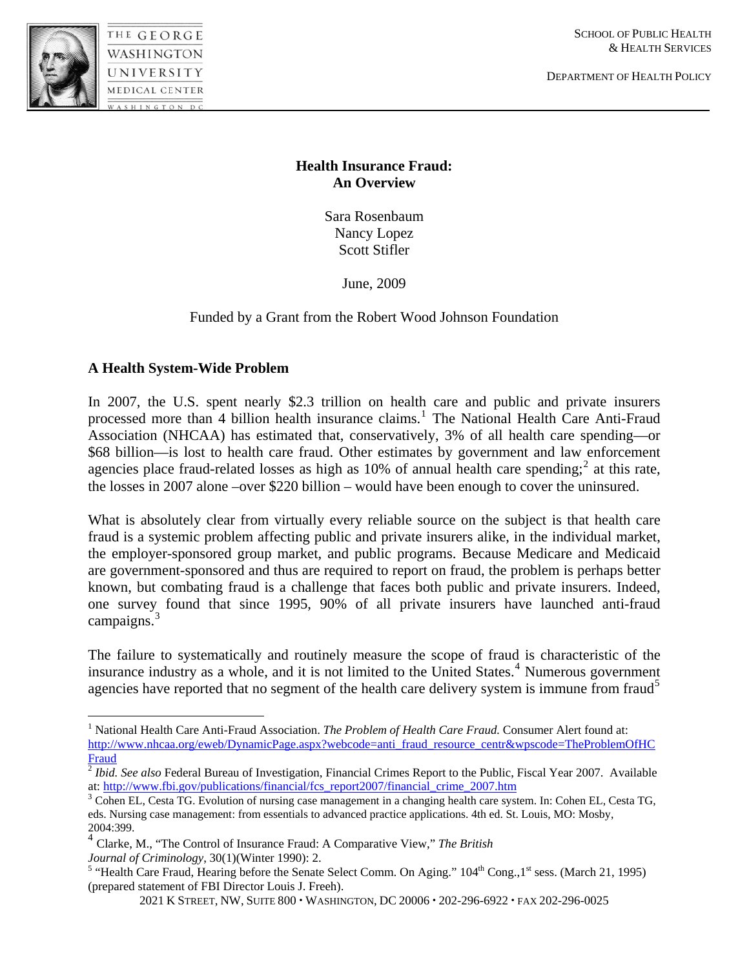

1

WASHINGTON UNIVERSITY **MEDICAL CENTER** 

DEPARTMENT OF HEALTH POLICY

## **Health Insurance Fraud: An Overview**

Sara Rosenbaum Nancy Lopez Scott Stifler

June, 2009

# Funded by a Grant from the Robert Wood Johnson Foundation

### **A Health System-Wide Problem**

In 2007, the U.S. spent nearly \$2.3 trillion on health care and public and private insurers processed more than 4 billion health insurance claims.<sup>[1](#page-0-0)</sup> The National Health Care Anti-Fraud Association (NHCAA) has estimated that, conservatively, 3% of all health care spending—or \$68 billion—is lost to health care fraud. Other estimates by government and law enforcement agencies place fraud-related losses as high as  $10\%$  of annual health care spending;<sup>[2](#page-0-1)</sup> at this rate, the losses in 2007 alone –over \$220 billion – would have been enough to cover the uninsured.

What is absolutely clear from virtually every reliable source on the subject is that health care fraud is a systemic problem affecting public and private insurers alike, in the individual market, the employer-sponsored group market, and public programs. Because Medicare and Medicaid are government-sponsored and thus are required to report on fraud, the problem is perhaps better known, but combating fraud is a challenge that faces both public and private insurers. Indeed, one survey found that since 1995, 90% of all private insurers have launched anti-fraud campaigns. $3$ 

The failure to systematically and routinely measure the scope of fraud is characteristic of the insurance industry as a whole, and it is not limited to the United States.<sup>[4](#page-0-3)</sup> Numerous government agencies have reported that no segment of the health care delivery system is immune from fraud<sup>[5](#page-0-4)</sup>

<span id="page-0-0"></span><sup>&</sup>lt;sup>1</sup> National Health Care Anti-Fraud Association. *The Problem of Health Care Fraud*. Consumer Alert found at: [http://www.nhcaa.org/eweb/DynamicPage.aspx?webcode=anti\\_fraud\\_resource\\_centr&wpscode=TheProblemOfHC](http://www.nhcaa.org/eweb/DynamicPage.aspx?webcode=anti_fraud_resource_centr&wpscode=TheProblemOfHCFraud) [Fraud](http://www.nhcaa.org/eweb/DynamicPage.aspx?webcode=anti_fraud_resource_centr&wpscode=TheProblemOfHCFraud) [2](http://www.nhcaa.org/eweb/DynamicPage.aspx?webcode=anti_fraud_resource_centr&wpscode=TheProblemOfHCFraud) *Ibid. See also* Federal Bureau of Investigation, Financial Crimes Report to the Public, Fiscal Year 2007. Available

<span id="page-0-1"></span>at: [http://www.fbi.gov/publications/financial/fcs\\_report2007/financial\\_crime\\_2007.htm](http://www.fbi.gov/publications/financial/fcs_report2007/financial_crime_2007.htm) 3 Cohen EL, Cesta TG, 3 Cohen EL, Cesta TG,

<span id="page-0-2"></span>eds. Nursing case management: from essentials to advanced practice applications. 4th ed. St. Louis, MO: Mosby, 2004:399.

<span id="page-0-3"></span><sup>4</sup> Clarke, M., "The Control of Insurance Fraud: A Comparative View," *The British* 

<span id="page-0-4"></span>Journal of Criminology, 30(1)(Winter 1990): 2.<br><sup>5</sup> "Health Care Fraud, Hearing before the Senate Select Comm. On Aging." 104<sup>th</sup> Cong.,1<sup>st</sup> sess. (March 21, 1995) (prepared statement of FBI Director Louis J. Freeh).

<sup>2021</sup> K STREET, NW, SUITE 800 WASHINGTON, DC 20006 202-296-6922 FAX 202-296-0025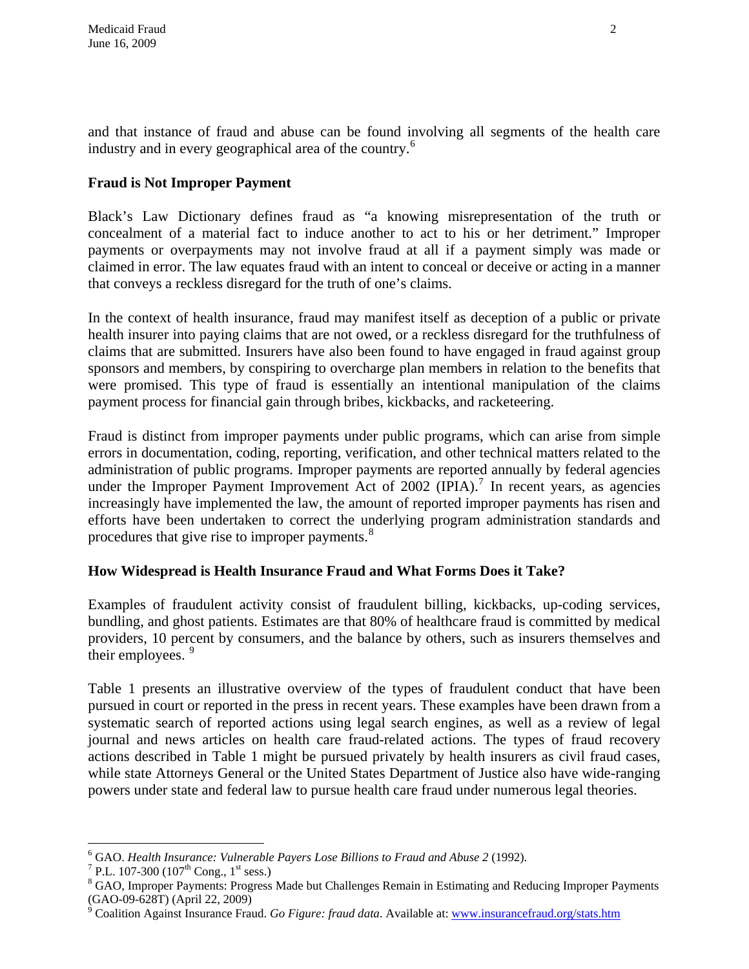and that instance of fraud and abuse can be found involving all segments of the health care industry and in every geographical area of the country.<sup>[6](#page-1-0)</sup>

# **Fraud is Not Improper Payment**

Black's Law Dictionary defines fraud as "a knowing misrepresentation of the truth or concealment of a material fact to induce another to act to his or her detriment." Improper payments or overpayments may not involve fraud at all if a payment simply was made or claimed in error. The law equates fraud with an intent to conceal or deceive or acting in a manner that conveys a reckless disregard for the truth of one's claims.

In the context of health insurance, fraud may manifest itself as deception of a public or private health insurer into paying claims that are not owed, or a reckless disregard for the truthfulness of claims that are submitted. Insurers have also been found to have engaged in fraud against group sponsors and members, by conspiring to overcharge plan members in relation to the benefits that were promised. This type of fraud is essentially an intentional manipulation of the claims payment process for financial gain through bribes, kickbacks, and racketeering.

Fraud is distinct from improper payments under public programs, which can arise from simple errors in documentation, coding, reporting, verification, and other technical matters related to the administration of public programs. Improper payments are reported annually by federal agencies under the Improper Payment Improvement Act of 2002 (IPIA).<sup>[7](#page-1-1)</sup> In recent years, as agencies increasingly have implemented the law, the amount of reported improper payments has risen and efforts have been undertaken to correct the underlying program administration standards and procedures that give rise to improper payments.<sup>[8](#page-1-2)</sup>

### **How Widespread is Health Insurance Fraud and What Forms Does it Take?**

Examples of fraudulent activity consist of fraudulent billing, kickbacks, up-coding services, bundling, and ghost patients. Estimates are that 80% of healthcare fraud is committed by medical providers, 10 percent by consumers, and the balance by others, such as insurers themselves and their employees.  $9$ 

Table 1 presents an illustrative overview of the types of fraudulent conduct that have been pursued in court or reported in the press in recent years. These examples have been drawn from a systematic search of reported actions using legal search engines, as well as a review of legal journal and news articles on health care fraud-related actions. The types of fraud recovery actions described in Table 1 might be pursued privately by health insurers as civil fraud cases, while state Attorneys General or the United States Department of Justice also have wide-ranging powers under state and federal law to pursue health care fraud under numerous legal theories.

 $\overline{a}$ 

<span id="page-1-0"></span><sup>&</sup>lt;sup>6</sup> GAO. *Health Insurance: Vulnerable Payers Lose Billions to Fraud and Abuse 2* (1992).<br><sup>7</sup> PL 107.300 (107<sup>th</sup> Cong. 1<sup>st</sup> sass.)

<span id="page-1-1"></span><sup>&</sup>lt;sup>7</sup> P.L. 107-300 (107<sup>th</sup> Cong., 1<sup>st</sup> sess.)

<span id="page-1-2"></span><sup>&</sup>lt;sup>8</sup> GAO, Improper Payments: Progress Made but Challenges Remain in Estimating and Reducing Improper Payments

<span id="page-1-3"></span><sup>(</sup>GAO-09-628T) (April 22, 2009)<br><sup>9</sup> Coalition Against Insurance Fraud. *Go Figure: fraud data*. Available at: <u>www.insurancefraud.org/stats.htm</u>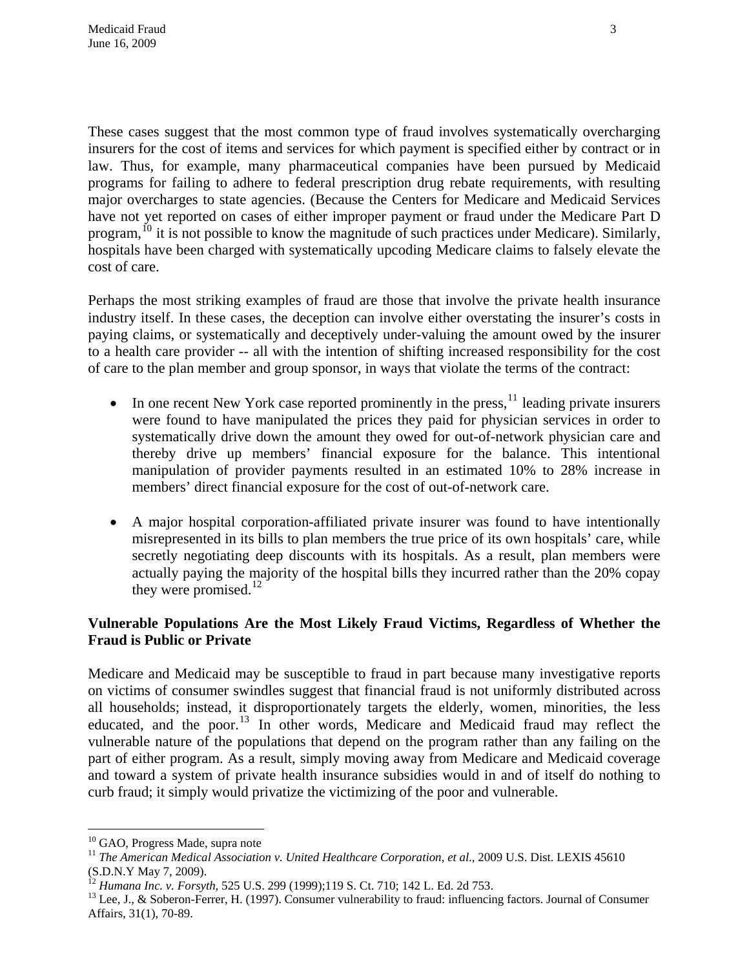These cases suggest that the most common type of fraud involves systematically overcharging insurers for the cost of items and services for which payment is specified either by contract or in law. Thus, for example, many pharmaceutical companies have been pursued by Medicaid programs for failing to adhere to federal prescription drug rebate requirements, with resulting major overcharges to state agencies. (Because the Centers for Medicare and Medicaid Services have not yet reported on cases of either improper payment or fraud under the Medicare Part D program,  $^{10}$  $^{10}$  $^{10}$  it is not possible to know the magnitude of such practices under Medicare). Similarly, hospitals have been charged with systematically upcoding Medicare claims to falsely elevate the cost of care.

Perhaps the most striking examples of fraud are those that involve the private health insurance industry itself. In these cases, the deception can involve either overstating the insurer's costs in paying claims, or systematically and deceptively under-valuing the amount owed by the insurer to a health care provider -- all with the intention of shifting increased responsibility for the cost of care to the plan member and group sponsor, in ways that violate the terms of the contract:

- In one recent New York case reported prominently in the press,  $\frac{11}{11}$  $\frac{11}{11}$  $\frac{11}{11}$  leading private insurers were found to have manipulated the prices they paid for physician services in order to systematically drive down the amount they owed for out-of-network physician care and thereby drive up members' financial exposure for the balance. This intentional manipulation of provider payments resulted in an estimated 10% to 28% increase in members' direct financial exposure for the cost of out-of-network care.
- A major hospital corporation-affiliated private insurer was found to have intentionally misrepresented in its bills to plan members the true price of its own hospitals' care, while secretly negotiating deep discounts with its hospitals. As a result, plan members were actually paying the majority of the hospital bills they incurred rather than the 20% copay they were promised.<sup>[12](#page-2-2)</sup>

### **Vulnerable Populations Are the Most Likely Fraud Victims, Regardless of Whether the Fraud is Public or Private**

Medicare and Medicaid may be susceptible to fraud in part because many investigative reports on victims of consumer swindles suggest that financial fraud is not uniformly distributed across all households; instead, it disproportionately targets the elderly, women, minorities, the less educated, and the poor.<sup>[13](#page-2-3)</sup> In other words, Medicare and Medicaid fraud may reflect the vulnerable nature of the populations that depend on the program rather than any failing on the part of either program. As a result, simply moving away from Medicare and Medicaid coverage and toward a system of private health insurance subsidies would in and of itself do nothing to curb fraud; it simply would privatize the victimizing of the poor and vulnerable.

<sup>1</sup> <sup>10</sup> GAO, Progress Made, supra note

<span id="page-2-1"></span><span id="page-2-0"></span><sup>&</sup>lt;sup>11</sup> *The American Medical Association v. United Healthcare Corporation, et al., 2009 U.S. Dist. LEXIS 45610* (S.D.N.Y May 7, 2009).<br><sup>12</sup> Humana Inc. v. Forsyth, 525 U.S. 299 (1999);119 S. Ct. 710; 142 L. Ed. 2d 753.

<span id="page-2-2"></span>

<span id="page-2-3"></span><sup>&</sup>lt;sup>13</sup> Lee, J., & Soberon-Ferrer, H. (1997). Consumer vulnerability to fraud: influencing factors. Journal of Consumer Affairs, 31(1), 70-89.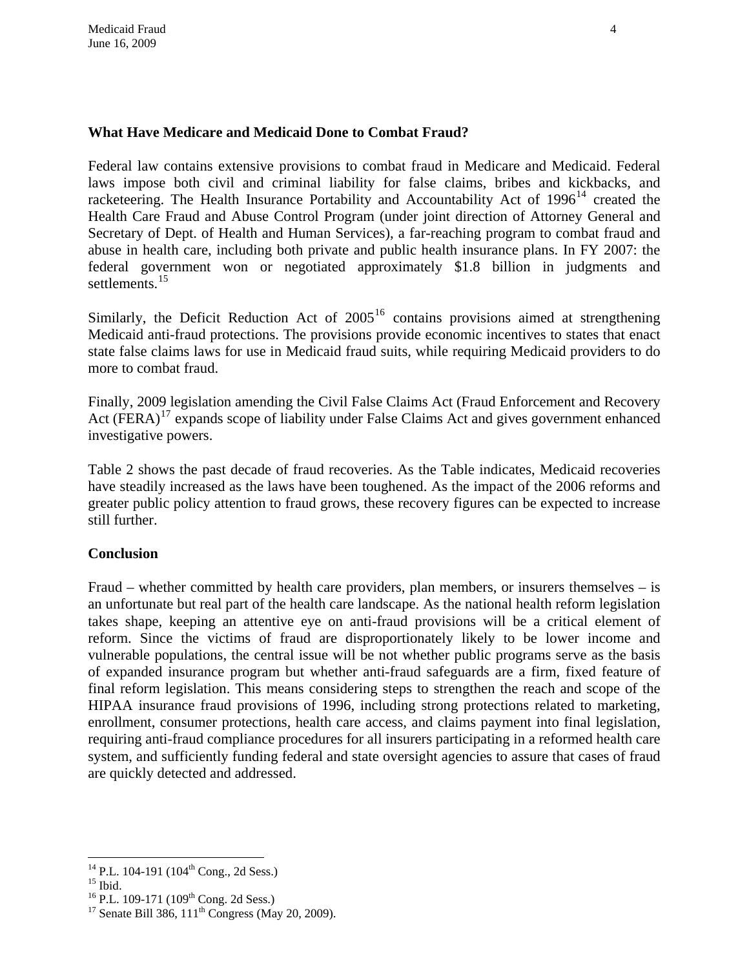## **What Have Medicare and Medicaid Done to Combat Fraud?**

settlements. $15$ Federal law contains extensive provisions to combat fraud in Medicare and Medicaid. Federal laws impose both civil and criminal liability for false claims, bribes and kickbacks, and racketeering. The Health Insurance Portability and Accountability Act of  $1996<sup>14</sup>$  $1996<sup>14</sup>$  $1996<sup>14</sup>$  created the Health Care Fraud and Abuse Control Program (under joint direction of Attorney General and Secretary of Dept. of Health and Human Services), a far-reaching program to combat fraud and abuse in health care, including both private and public health insurance plans. In FY 2007: the federal government won or negotiated approximately \$1.8 billion in judgments and

state false claims laws for use in Medicaid fraud suits, while requiring Medicaid providers to do more to combat fraud. Similarly, the Deficit Reduction Act of  $2005<sup>16</sup>$  $2005<sup>16</sup>$  $2005<sup>16</sup>$  contains provisions aimed at strengthening Medicaid anti-fraud protections. The provisions provide economic incentives to states that enact

Act  $(FERA)^{17}$  $(FERA)^{17}$  $(FERA)^{17}$  expands scope of liability under False Claims Act and gives government enhanced investigative powers. Finally, 2009 legislation amending the Civil False Claims Act (Fraud Enforcement and Recovery

greater public policy attention to fraud grows, these recovery figures can be expected to increase still further. Table 2 shows the past decade of fraud recoveries. As the Table indicates, Medicaid recoveries have steadily increased as the laws have been toughened. As the impact of the 2006 reforms and

### **onclusion C**

system, and sufficiently funding federal and state oversight agencies to assure that cases of fraud are quickly detected and addressed. Fraud – whether committed by health care providers, plan members, or insurers themselves – is an unfortunate but real part of the health care landscape. As the national health reform legislation takes shape, keeping an attentive eye on anti-fraud provisions will be a critical element of reform. Since the victims of fraud are disproportionately likely to be lower income and vulnerable populations, the central issue will be not whether public programs serve as the basis of expanded insurance program but whether anti-fraud safeguards are a firm, fixed feature of final reform legislation. This means considering steps to strengthen the reach and scope of the HIPAA insurance fraud provisions of 1996, including strong protections related to marketing, enrollment, consumer protections, health care access, and claims payment into final legislation, requiring anti-fraud compliance procedures for all insurers participating in a reformed health care

<span id="page-3-0"></span> $\overline{a}$ <sup>14</sup> P.L. 104-191 (104<sup>th</sup> Cong., 2d Sess.)<br><sup>15</sup> Ibid.

<span id="page-3-2"></span><span id="page-3-1"></span><sup>&</sup>lt;sup>16</sup> P.L. 109-171 (109<sup>th</sup> Cong. 2d Sess.)<br><sup>17</sup> Senate Bill 386, 111<sup>th</sup> Congress (May 20, 2009).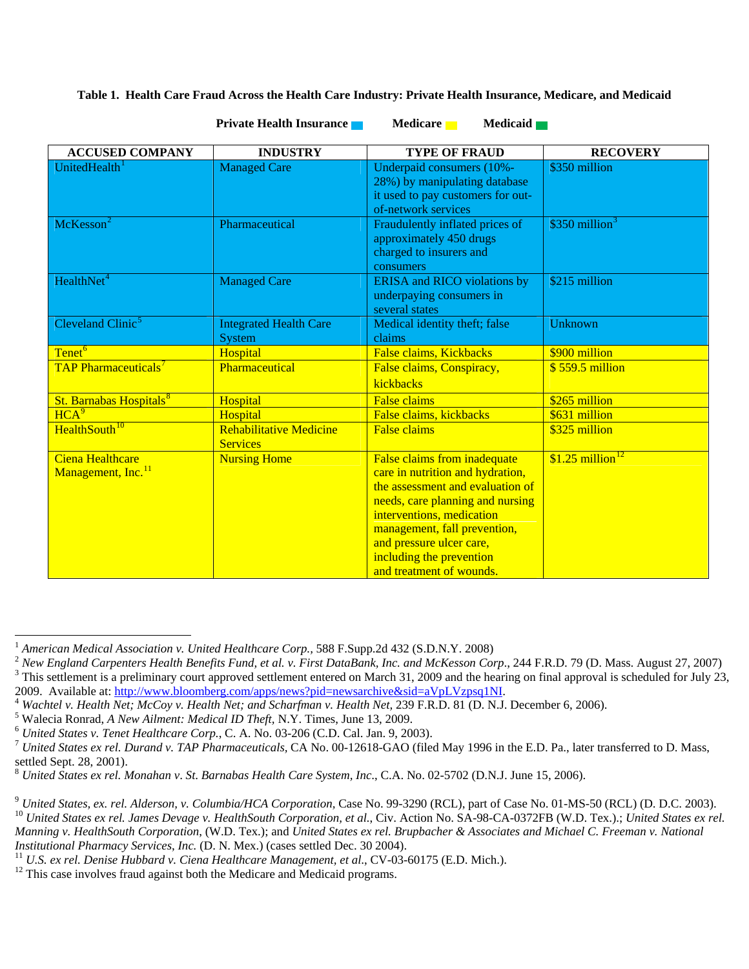#### **Table 1. Health Care Fraud Across the Health Care Industry: Private Health Insurance, Medicare, and Medicaid**

| <b>ACCUSED COMPANY</b>                             | <b>INDUSTRY</b>                                   | <b>TYPE OF FRAUD</b>                                                                                                                                                                                                                                                                      | <b>RECOVERY</b>               |
|----------------------------------------------------|---------------------------------------------------|-------------------------------------------------------------------------------------------------------------------------------------------------------------------------------------------------------------------------------------------------------------------------------------------|-------------------------------|
| UnitedHealth <sup>1</sup>                          | <b>Managed Care</b>                               | Underpaid consumers (10%-<br>28%) by manipulating database<br>it used to pay customers for out-<br>of-network services                                                                                                                                                                    | \$350 million                 |
| McKesson <sup>2</sup>                              | Pharmaceutical                                    | Fraudulently inflated prices of<br>approximately 450 drugs<br>charged to insurers and<br>consumers                                                                                                                                                                                        | $$350$ million <sup>3</sup>   |
| HealthNet <sup>4</sup>                             | <b>Managed Care</b>                               | <b>ERISA</b> and <b>RICO</b> violations by<br>underpaying consumers in<br>several states                                                                                                                                                                                                  | \$215 million                 |
| Cleveland Clinic <sup>5</sup>                      | <b>Integrated Health Care</b><br><b>System</b>    | Medical identity theft; false<br>claims                                                                                                                                                                                                                                                   | <b>Unknown</b>                |
| Tenet <sup>6</sup>                                 | Hospital                                          | False claims, Kickbacks                                                                                                                                                                                                                                                                   | \$900 million                 |
| <b>TAP Pharmaceuticals<sup>7</sup></b>             | Pharmaceutical                                    | False claims, Conspiracy,<br>kickbacks                                                                                                                                                                                                                                                    | \$559.5 million               |
| St. Barnabas Hospitals <sup>8</sup>                | Hospital                                          | <b>False claims</b>                                                                                                                                                                                                                                                                       | \$265 million                 |
| HCA <sup>9</sup>                                   | Hospital                                          | False claims, kickbacks                                                                                                                                                                                                                                                                   | \$631 million                 |
| HealthSouth <sup>10</sup>                          | <b>Rehabilitative Medicine</b><br><b>Services</b> | <b>False claims</b>                                                                                                                                                                                                                                                                       | \$325 million                 |
| Ciena Healthcare<br>Management, Inc. <sup>11</sup> | <b>Nursing Home</b>                               | False claims from inadequate<br>care in nutrition and hydration,<br>the assessment and evaluation of<br>needs, care planning and nursing<br>interventions, medication<br>management, fall prevention,<br>and pressure ulcer care,<br>including the prevention<br>and treatment of wounds. | $$1.25$ million <sup>12</sup> |

#### **Private Health Insurance Medicare Medicaid Medicaid Ave**

<span id="page-4-1"></span>

<span id="page-4-0"></span><sup>&</sup>lt;sup>1</sup> American Medical Association v. United Healthcare Corp., 588 F.Supp.2d 432 (S.D.N.Y. 2008)<br><sup>2</sup> New England Carpenters Health Benefits Fund, et al. v. First DataBank, Inc. and McKesson Corp., 244 F.R.D. 79 (D. Mass. Au  $3$  This settlement is a preliminary court approved settlement entered on March 31, 2009 and the hearing on final approval is scheduled for July 23,

<span id="page-4-3"></span><span id="page-4-2"></span><sup>2009.</sup> Available at: [http://www.bloomberg.com/apps/news?pid=newsarchive&sid=aVpLVzpsq1NI.](http://www.bloomberg.com/apps/news?pid=newsarchive&sid=aVpLVzpsq1NI)<br><sup>4</sup> *Wachtel v. Health Net; McCoy v. Health Net; and Scharfman v. Health Net, 239 F.R.D. 81 (D. N.J. December 6, 2006).*<br><sup>5</sup> Walecia

<span id="page-4-4"></span>

<span id="page-4-6"></span>

<span id="page-4-5"></span><sup>&</sup>lt;sup>6</sup> United States v. Tenet Healthcare Corp., C. A. No. 03-206 (C.D. Cal. Jan. 9, 2003).<br><sup>7</sup> United States ex rel. Durand v. TAP Pharmaceuticals, CA No. 00-12618-GAO (filed May 1996 in the E.D. Pa., later transferred to D. settled Sept. 28, 2001).

<span id="page-4-7"></span><sup>8</sup> *United States ex rel. Monahan v*. *St*. *Barnabas Health Care System, Inc*., C.A. No. 02-5702 (D.N.J. June 15, 2006).

<span id="page-4-9"></span><span id="page-4-8"></span><sup>&</sup>lt;sup>9</sup> United States, ex. rel. Alderson, v. Columbia/HCA Corporation, Case No. 99-3290 (RCL), part of Case No. 01-MS-50 (RCL) (D. D.C. 2003).<br><sup>10</sup> United States ex rel. James Devage v. HealthSouth Corporation, et al., Civ. A *Manning v. HealthSouth Corporation*, (W.D. Tex.); and *United States ex rel. Brupbacher & Associates and Michael C. Freeman v. National Institutional Pharmacy Services, Inc.* (D. N. Mex.) (cases settled Dec. 30 2004).<br><sup>11</sup> U.S. *ex rel. Denise Hubbard v. Ciena Healthcare Management, et al., CV-03-60175 (E.D. Mich.).*<br><sup>12</sup> This case involves fraud against

<span id="page-4-10"></span>

<span id="page-4-11"></span>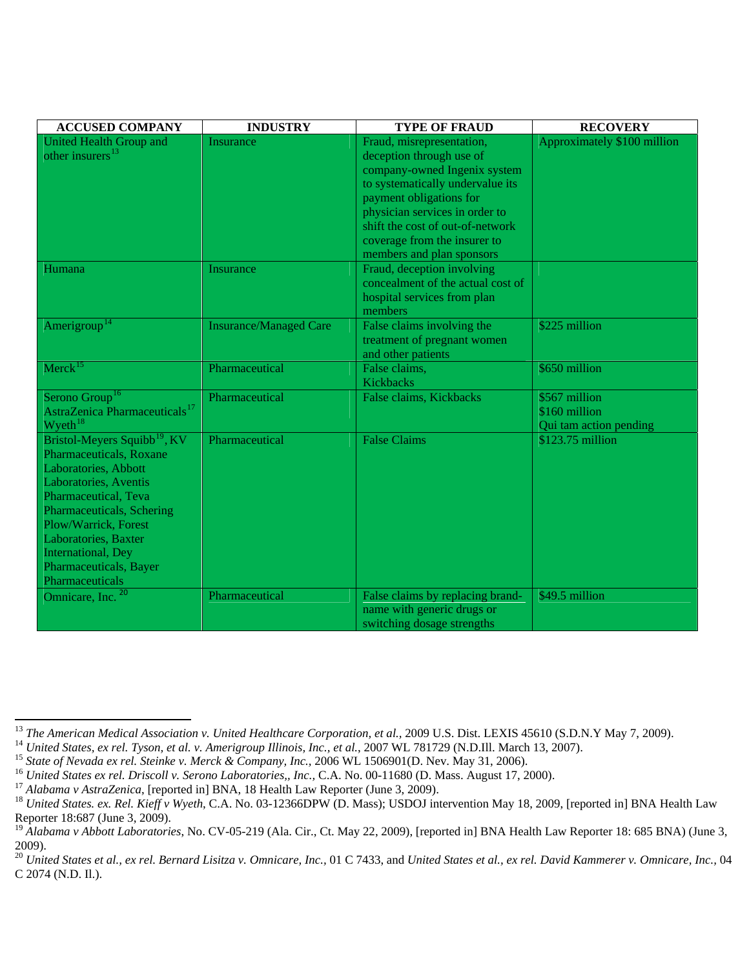| <b>ACCUSED COMPANY</b>                                                                                                                                                                                                                                                                               | <b>INDUSTRY</b>               | <b>TYPE OF FRAUD</b>                                                                                                                                                                                                                                                                    | <b>RECOVERY</b>                                          |
|------------------------------------------------------------------------------------------------------------------------------------------------------------------------------------------------------------------------------------------------------------------------------------------------------|-------------------------------|-----------------------------------------------------------------------------------------------------------------------------------------------------------------------------------------------------------------------------------------------------------------------------------------|----------------------------------------------------------|
| <b>United Health Group and</b><br>other insurers <sup>13</sup>                                                                                                                                                                                                                                       | Insurance                     | Fraud, misrepresentation,<br>deception through use of<br>company-owned Ingenix system<br>to systematically undervalue its<br>payment obligations for<br>physician services in order to<br>shift the cost of out-of-network<br>coverage from the insurer to<br>members and plan sponsors | Approximately \$100 million                              |
| Humana                                                                                                                                                                                                                                                                                               | Insurance                     | Fraud, deception involving<br>concealment of the actual cost of<br>hospital services from plan<br>members                                                                                                                                                                               |                                                          |
| Amerigroup <sup>14</sup>                                                                                                                                                                                                                                                                             | <b>Insurance/Managed Care</b> | False claims involving the<br>treatment of pregnant women<br>and other patients                                                                                                                                                                                                         | \$225 million                                            |
| $Merck$ <sup>15</sup>                                                                                                                                                                                                                                                                                | Pharmaceutical                | False claims,<br>Kickbacks                                                                                                                                                                                                                                                              | \$650 million                                            |
| Serono Group <sup>16</sup><br>AstraZenica Pharmaceuticals <sup>17</sup><br>Wyeth <sup>18</sup>                                                                                                                                                                                                       | Pharmaceutical                | False claims, Kickbacks                                                                                                                                                                                                                                                                 | \$567 million<br>\$160 million<br>Qui tam action pending |
| Bristol-Meyers Squibb <sup>19</sup> , KV<br>Pharmaceuticals, Roxane<br>Laboratories, Abbott<br>Laboratories, Aventis<br>Pharmaceutical, Teva<br>Pharmaceuticals, Schering<br>Plow/Warrick, Forest<br>Laboratories, Baxter<br><b>International</b> , Dey<br>Pharmaceuticals, Bayer<br>Pharmaceuticals | Pharmaceutical                | <b>False Claims</b>                                                                                                                                                                                                                                                                     | $$123.75$ million                                        |
| Omnicare, Inc. <sup>20</sup>                                                                                                                                                                                                                                                                         | Pharmaceutical                | False claims by replacing brand-<br>name with generic drugs or<br>switching dosage strengths                                                                                                                                                                                            | \$49.5 million                                           |

<span id="page-5-0"></span><sup>&</sup>lt;sup>13</sup> The American Medical Association v. United Healthcare Corporation, et al., 2009 U.S. Dist. LEXIS 45610 (S.D.N.Y May 7, 2009).

<span id="page-5-1"></span>

<span id="page-5-2"></span>

<span id="page-5-3"></span>

<span id="page-5-5"></span><span id="page-5-4"></span>

<sup>&</sup>lt;sup>14</sup> United States, ex rel. Tyson, et al. v. Amerigroup Illinois, Inc., et al., 2007 WL 781729 (N.D.Ill. March 13, 2007).<br><sup>15</sup> State of Nevada ex rel. Steinke v. Merck & Company, Inc., 2006 WL 1506901(D. Nev. May 31, 2006 Reporter 18:687 (June 3, 2009).

<span id="page-5-6"></span><sup>&</sup>lt;sup>19</sup> Alabama v Abbott Laboratories, No. CV-05-219 (Ala. Cir., Ct. May 22, 2009), [reported in] BNA Health Law Reporter 18: 685 BNA) (June 3, 2009).

<span id="page-5-7"></span><sup>&</sup>lt;sup>20</sup> United States et al., ex rel. Bernard Lisitza v. Omnicare, Inc., 01 C 7433, and United States et al., ex rel. David Kammerer v. Omnicare, Inc., 04 C 2074 (N.D. Il.).